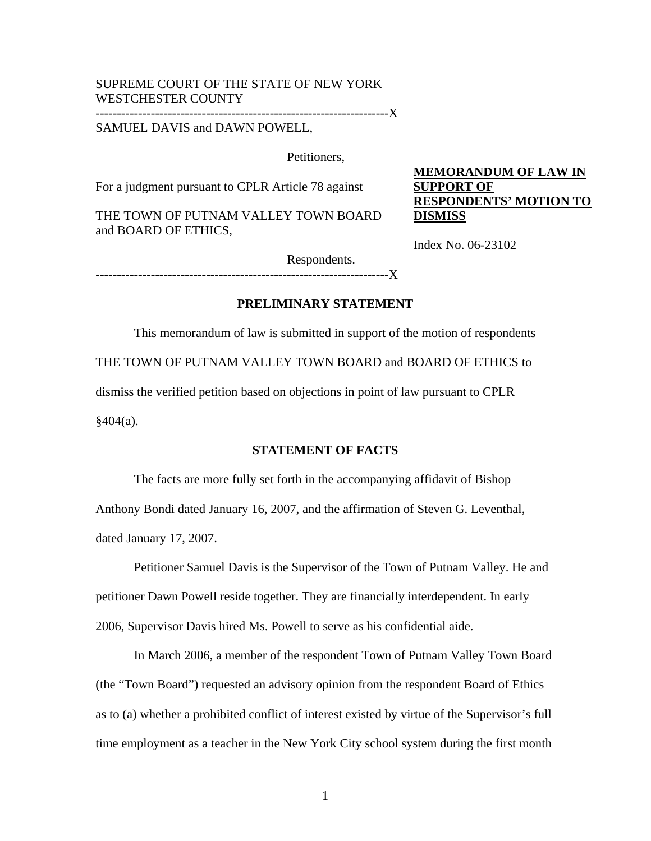# SUPREME COURT OF THE STATE OF NEW YORK WESTCHESTER COUNTY

---------------------------------------------------------------------X

SAMUEL DAVIS and DAWN POWELL,

Petitioners,

For a judgment pursuant to CPLR Article 78 against

THE TOWN OF PUTNAM VALLEY TOWN BOARD and BOARD OF ETHICS,

**MEMORANDUM OF LAW IN SUPPORT OF RESPONDENTS' MOTION TO DISMISS**

Index No. 06-23102

Respondents.

 $----X$ 

## **PRELIMINARY STATEMENT**

 This memorandum of law is submitted in support of the motion of respondents THE TOWN OF PUTNAM VALLEY TOWN BOARD and BOARD OF ETHICS to dismiss the verified petition based on objections in point of law pursuant to CPLR  $§404(a).$ 

#### **STATEMENT OF FACTS**

 The facts are more fully set forth in the accompanying affidavit of Bishop Anthony Bondi dated January 16, 2007, and the affirmation of Steven G. Leventhal, dated January 17, 2007.

 Petitioner Samuel Davis is the Supervisor of the Town of Putnam Valley. He and petitioner Dawn Powell reside together. They are financially interdependent. In early 2006, Supervisor Davis hired Ms. Powell to serve as his confidential aide.

 In March 2006, a member of the respondent Town of Putnam Valley Town Board (the "Town Board") requested an advisory opinion from the respondent Board of Ethics as to (a) whether a prohibited conflict of interest existed by virtue of the Supervisor's full time employment as a teacher in the New York City school system during the first month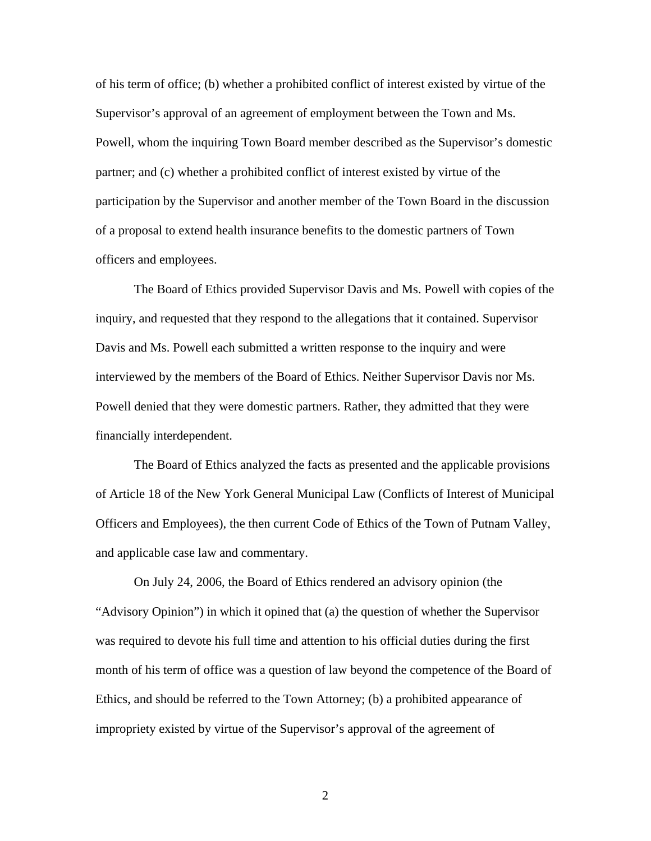of his term of office; (b) whether a prohibited conflict of interest existed by virtue of the Supervisor's approval of an agreement of employment between the Town and Ms. Powell, whom the inquiring Town Board member described as the Supervisor's domestic partner; and (c) whether a prohibited conflict of interest existed by virtue of the participation by the Supervisor and another member of the Town Board in the discussion of a proposal to extend health insurance benefits to the domestic partners of Town officers and employees.

 The Board of Ethics provided Supervisor Davis and Ms. Powell with copies of the inquiry, and requested that they respond to the allegations that it contained. Supervisor Davis and Ms. Powell each submitted a written response to the inquiry and were interviewed by the members of the Board of Ethics. Neither Supervisor Davis nor Ms. Powell denied that they were domestic partners. Rather, they admitted that they were financially interdependent.

 The Board of Ethics analyzed the facts as presented and the applicable provisions of Article 18 of the New York General Municipal Law (Conflicts of Interest of Municipal Officers and Employees), the then current Code of Ethics of the Town of Putnam Valley, and applicable case law and commentary.

On July 24, 2006, the Board of Ethics rendered an advisory opinion (the "Advisory Opinion") in which it opined that (a) the question of whether the Supervisor was required to devote his full time and attention to his official duties during the first month of his term of office was a question of law beyond the competence of the Board of Ethics, and should be referred to the Town Attorney; (b) a prohibited appearance of impropriety existed by virtue of the Supervisor's approval of the agreement of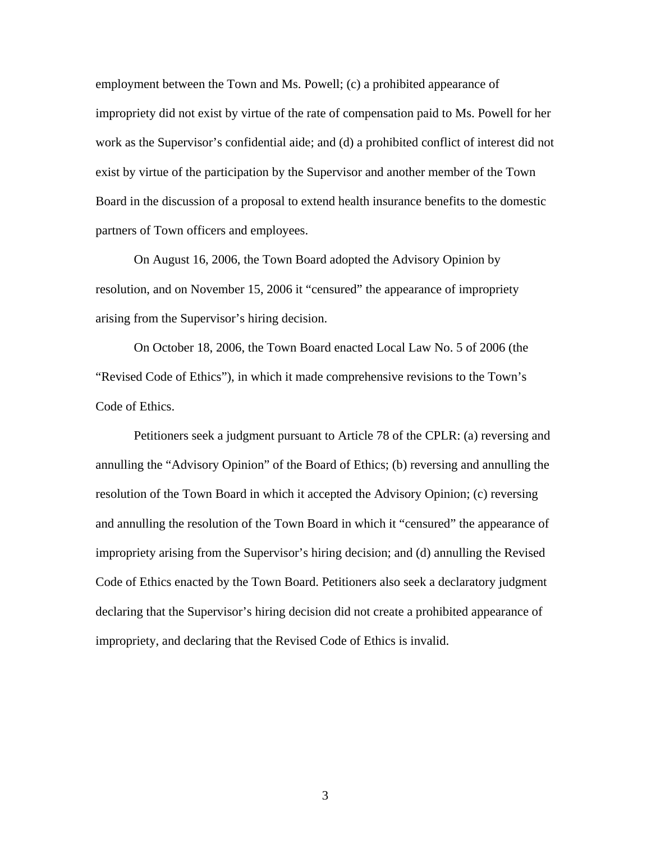employment between the Town and Ms. Powell; (c) a prohibited appearance of impropriety did not exist by virtue of the rate of compensation paid to Ms. Powell for her work as the Supervisor's confidential aide; and (d) a prohibited conflict of interest did not exist by virtue of the participation by the Supervisor and another member of the Town Board in the discussion of a proposal to extend health insurance benefits to the domestic partners of Town officers and employees.

On August 16, 2006, the Town Board adopted the Advisory Opinion by resolution, and on November 15, 2006 it "censured" the appearance of impropriety arising from the Supervisor's hiring decision.

 On October 18, 2006, the Town Board enacted Local Law No. 5 of 2006 (the "Revised Code of Ethics"), in which it made comprehensive revisions to the Town's Code of Ethics.

Petitioners seek a judgment pursuant to Article 78 of the CPLR: (a) reversing and annulling the "Advisory Opinion" of the Board of Ethics; (b) reversing and annulling the resolution of the Town Board in which it accepted the Advisory Opinion; (c) reversing and annulling the resolution of the Town Board in which it "censured" the appearance of impropriety arising from the Supervisor's hiring decision; and (d) annulling the Revised Code of Ethics enacted by the Town Board. Petitioners also seek a declaratory judgment declaring that the Supervisor's hiring decision did not create a prohibited appearance of impropriety, and declaring that the Revised Code of Ethics is invalid.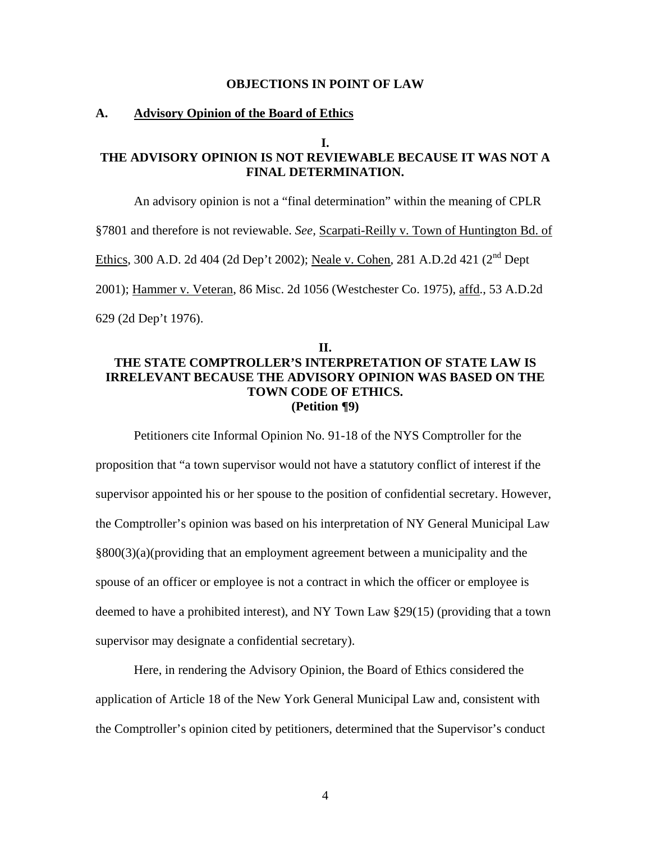#### **OBJECTIONS IN POINT OF LAW**

#### **A. Advisory Opinion of the Board of Ethics**

#### **I.**

## **THE ADVISORY OPINION IS NOT REVIEWABLE BECAUSE IT WAS NOT A FINAL DETERMINATION.**

An advisory opinion is not a "final determination" within the meaning of CPLR

§7801 and therefore is not reviewable. *See,* Scarpati-Reilly v. Town of Huntington Bd. of

Ethics, 300 A.D. 2d 404 (2d Dep't 2002); Neale v. Cohen, 281 A.D.2d 421 (2<sup>nd</sup> Dept

2001); Hammer v. Veteran, 86 Misc. 2d 1056 (Westchester Co. 1975), affd., 53 A.D.2d

629 (2d Dep't 1976).

### **II. THE STATE COMPTROLLER'S INTERPRETATION OF STATE LAW IS IRRELEVANT BECAUSE THE ADVISORY OPINION WAS BASED ON THE TOWN CODE OF ETHICS. (Petition ¶9)**

 Petitioners cite Informal Opinion No. 91-18 of the NYS Comptroller for the proposition that "a town supervisor would not have a statutory conflict of interest if the supervisor appointed his or her spouse to the position of confidential secretary. However, the Comptroller's opinion was based on his interpretation of NY General Municipal Law §800(3)(a)(providing that an employment agreement between a municipality and the spouse of an officer or employee is not a contract in which the officer or employee is deemed to have a prohibited interest), and NY Town Law §29(15) (providing that a town supervisor may designate a confidential secretary).

Here, in rendering the Advisory Opinion, the Board of Ethics considered the application of Article 18 of the New York General Municipal Law and, consistent with the Comptroller's opinion cited by petitioners, determined that the Supervisor's conduct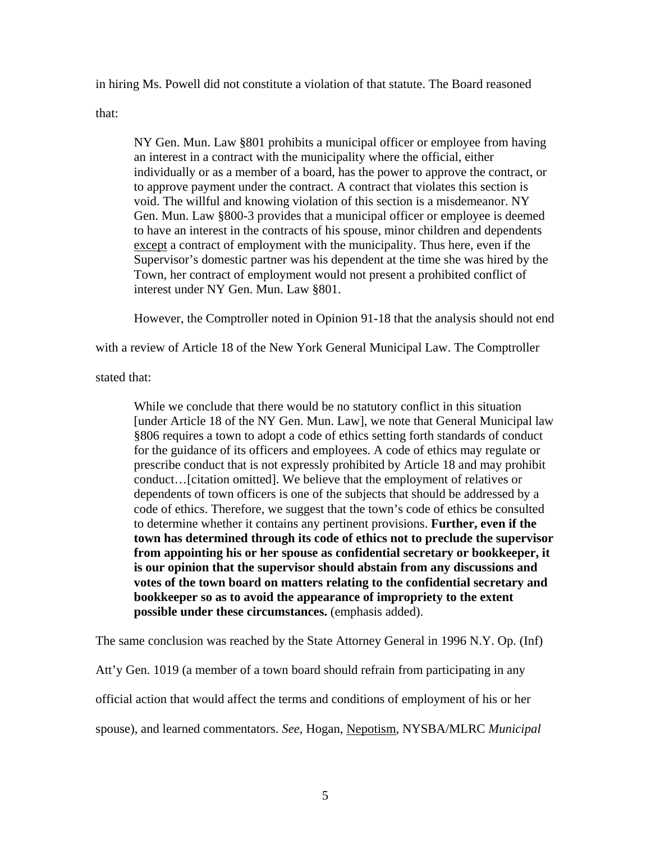in hiring Ms. Powell did not constitute a violation of that statute. The Board reasoned

that:

NY Gen. Mun. Law §801 prohibits a municipal officer or employee from having an interest in a contract with the municipality where the official, either individually or as a member of a board, has the power to approve the contract, or to approve payment under the contract. A contract that violates this section is void. The willful and knowing violation of this section is a misdemeanor. NY Gen. Mun. Law §800-3 provides that a municipal officer or employee is deemed to have an interest in the contracts of his spouse, minor children and dependents except a contract of employment with the municipality. Thus here, even if the Supervisor's domestic partner was his dependent at the time she was hired by the Town, her contract of employment would not present a prohibited conflict of interest under NY Gen. Mun. Law §801.

However, the Comptroller noted in Opinion 91-18 that the analysis should not end

with a review of Article 18 of the New York General Municipal Law. The Comptroller

stated that:

While we conclude that there would be no statutory conflict in this situation [under Article 18 of the NY Gen. Mun. Law], we note that General Municipal law §806 requires a town to adopt a code of ethics setting forth standards of conduct for the guidance of its officers and employees. A code of ethics may regulate or prescribe conduct that is not expressly prohibited by Article 18 and may prohibit conduct…[citation omitted]. We believe that the employment of relatives or dependents of town officers is one of the subjects that should be addressed by a code of ethics. Therefore, we suggest that the town's code of ethics be consulted to determine whether it contains any pertinent provisions. **Further, even if the town has determined through its code of ethics not to preclude the supervisor from appointing his or her spouse as confidential secretary or bookkeeper, it is our opinion that the supervisor should abstain from any discussions and votes of the town board on matters relating to the confidential secretary and bookkeeper so as to avoid the appearance of impropriety to the extent possible under these circumstances.** (emphasis added).

The same conclusion was reached by the State Attorney General in 1996 N.Y. Op. (Inf)

Att'y Gen. 1019 (a member of a town board should refrain from participating in any official action that would affect the terms and conditions of employment of his or her spouse), and learned commentators. *See,* Hogan, Nepotism, NYSBA/MLRC *Municipal*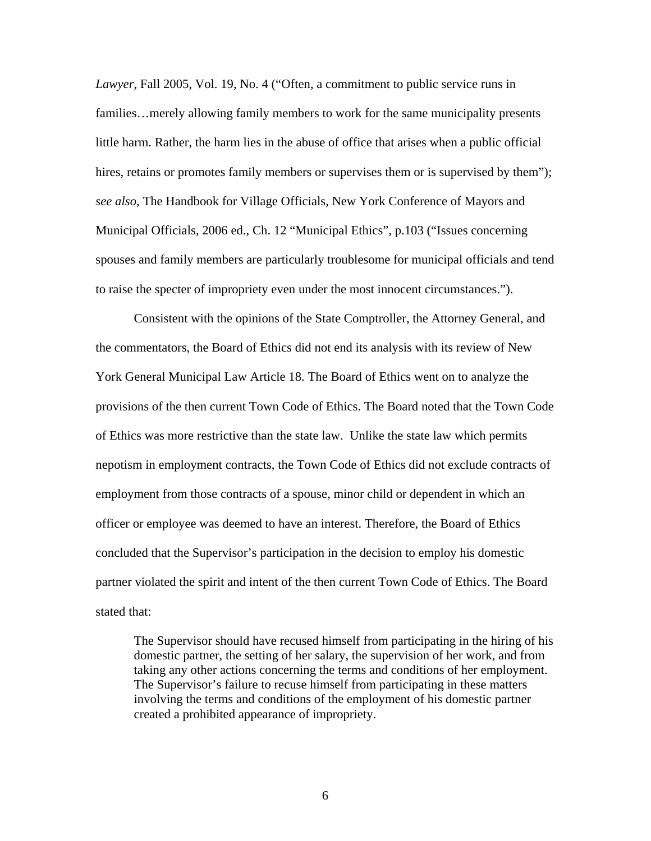*Lawyer*, Fall 2005, Vol. 19, No. 4 ("Often, a commitment to public service runs in families…merely allowing family members to work for the same municipality presents little harm. Rather, the harm lies in the abuse of office that arises when a public official hires, retains or promotes family members or supervises them or is supervised by them"); *see also,* The Handbook for Village Officials, New York Conference of Mayors and Municipal Officials, 2006 ed., Ch. 12 "Municipal Ethics", p.103 ("Issues concerning spouses and family members are particularly troublesome for municipal officials and tend to raise the specter of impropriety even under the most innocent circumstances.").

Consistent with the opinions of the State Comptroller, the Attorney General, and the commentators, the Board of Ethics did not end its analysis with its review of New York General Municipal Law Article 18. The Board of Ethics went on to analyze the provisions of the then current Town Code of Ethics. The Board noted that the Town Code of Ethics was more restrictive than the state law. Unlike the state law which permits nepotism in employment contracts, the Town Code of Ethics did not exclude contracts of employment from those contracts of a spouse, minor child or dependent in which an officer or employee was deemed to have an interest. Therefore, the Board of Ethics concluded that the Supervisor's participation in the decision to employ his domestic partner violated the spirit and intent of the then current Town Code of Ethics. The Board stated that:

The Supervisor should have recused himself from participating in the hiring of his domestic partner, the setting of her salary, the supervision of her work, and from taking any other actions concerning the terms and conditions of her employment. The Supervisor's failure to recuse himself from participating in these matters involving the terms and conditions of the employment of his domestic partner created a prohibited appearance of impropriety.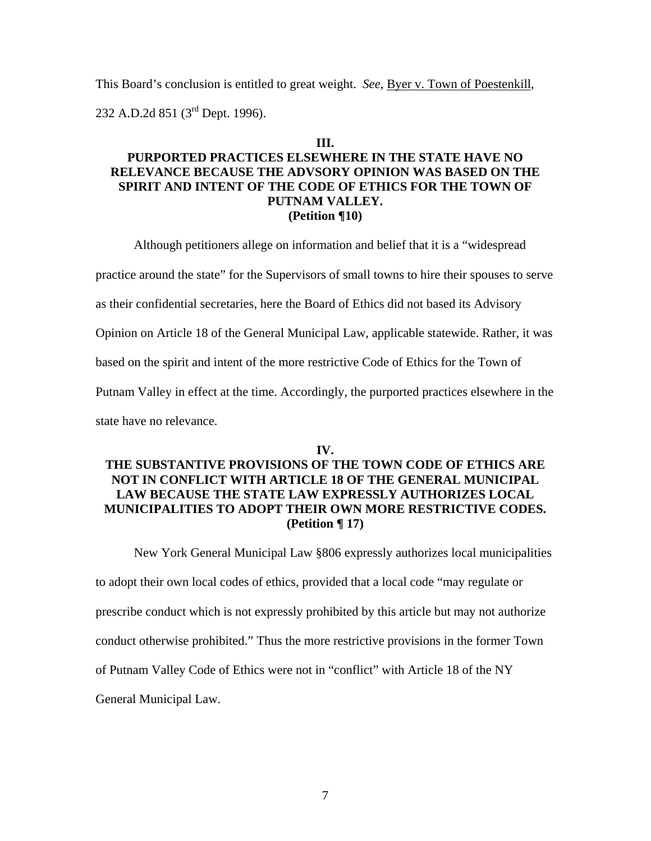This Board's conclusion is entitled to great weight. *See*, **Byer v. Town of Poestenkill**, 232 A.D.2d 851 (3rd Dept. 1996).

#### **III.**

# **PURPORTED PRACTICES ELSEWHERE IN THE STATE HAVE NO RELEVANCE BECAUSE THE ADVSORY OPINION WAS BASED ON THE SPIRIT AND INTENT OF THE CODE OF ETHICS FOR THE TOWN OF PUTNAM VALLEY. (Petition ¶10)**

Although petitioners allege on information and belief that it is a "widespread

practice around the state" for the Supervisors of small towns to hire their spouses to serve

as their confidential secretaries, here the Board of Ethics did not based its Advisory

Opinion on Article 18 of the General Municipal Law, applicable statewide. Rather, it was

based on the spirit and intent of the more restrictive Code of Ethics for the Town of

Putnam Valley in effect at the time. Accordingly, the purported practices elsewhere in the

state have no relevance.

#### **IV.**

# **THE SUBSTANTIVE PROVISIONS OF THE TOWN CODE OF ETHICS ARE NOT IN CONFLICT WITH ARTICLE 18 OF THE GENERAL MUNICIPAL LAW BECAUSE THE STATE LAW EXPRESSLY AUTHORIZES LOCAL MUNICIPALITIES TO ADOPT THEIR OWN MORE RESTRICTIVE CODES. (Petition ¶ 17)**

New York General Municipal Law §806 expressly authorizes local municipalities

to adopt their own local codes of ethics, provided that a local code "may regulate or

prescribe conduct which is not expressly prohibited by this article but may not authorize

conduct otherwise prohibited." Thus the more restrictive provisions in the former Town

of Putnam Valley Code of Ethics were not in "conflict" with Article 18 of the NY

General Municipal Law.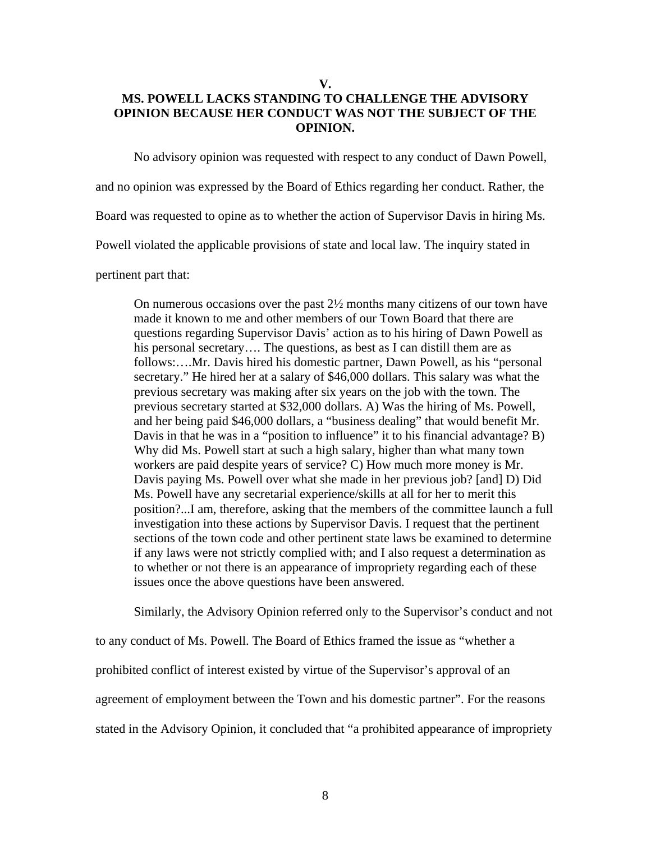**V.** 

# **MS. POWELL LACKS STANDING TO CHALLENGE THE ADVISORY OPINION BECAUSE HER CONDUCT WAS NOT THE SUBJECT OF THE OPINION.**

No advisory opinion was requested with respect to any conduct of Dawn Powell,

and no opinion was expressed by the Board of Ethics regarding her conduct. Rather, the

Board was requested to opine as to whether the action of Supervisor Davis in hiring Ms.

Powell violated the applicable provisions of state and local law. The inquiry stated in

pertinent part that:

On numerous occasions over the past  $2\frac{1}{2}$  months many citizens of our town have made it known to me and other members of our Town Board that there are questions regarding Supervisor Davis' action as to his hiring of Dawn Powell as his personal secretary.... The questions, as best as I can distill them are as follows:….Mr. Davis hired his domestic partner, Dawn Powell, as his "personal secretary." He hired her at a salary of \$46,000 dollars. This salary was what the previous secretary was making after six years on the job with the town. The previous secretary started at \$32,000 dollars. A) Was the hiring of Ms. Powell, and her being paid \$46,000 dollars, a "business dealing" that would benefit Mr. Davis in that he was in a "position to influence" it to his financial advantage? B) Why did Ms. Powell start at such a high salary, higher than what many town workers are paid despite years of service? C) How much more money is Mr. Davis paying Ms. Powell over what she made in her previous job? [and] D) Did Ms. Powell have any secretarial experience/skills at all for her to merit this position?...I am, therefore, asking that the members of the committee launch a full investigation into these actions by Supervisor Davis. I request that the pertinent sections of the town code and other pertinent state laws be examined to determine if any laws were not strictly complied with; and I also request a determination as to whether or not there is an appearance of impropriety regarding each of these issues once the above questions have been answered.

 Similarly, the Advisory Opinion referred only to the Supervisor's conduct and not to any conduct of Ms. Powell. The Board of Ethics framed the issue as "whether a prohibited conflict of interest existed by virtue of the Supervisor's approval of an agreement of employment between the Town and his domestic partner". For the reasons stated in the Advisory Opinion, it concluded that "a prohibited appearance of impropriety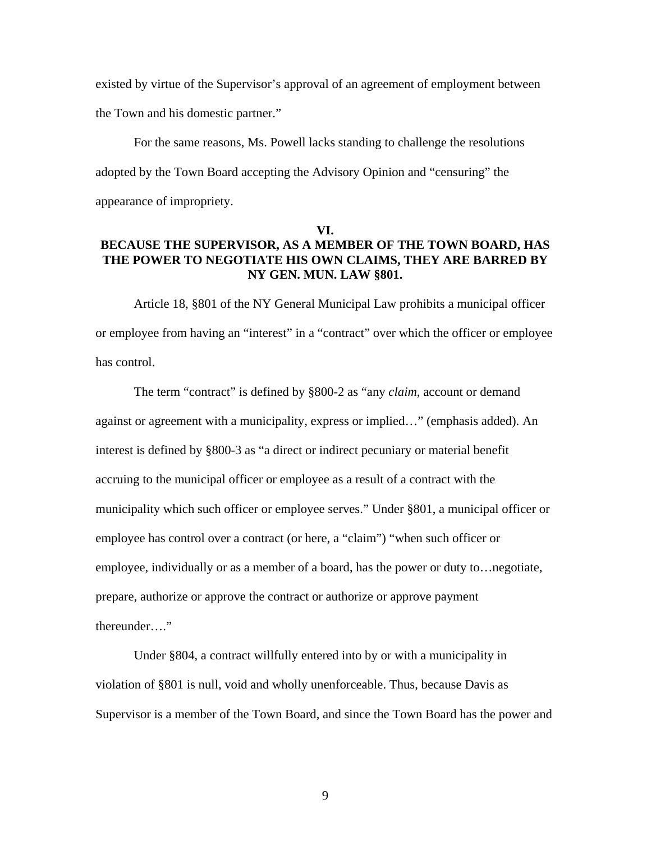existed by virtue of the Supervisor's approval of an agreement of employment between the Town and his domestic partner."

 For the same reasons, Ms. Powell lacks standing to challenge the resolutions adopted by the Town Board accepting the Advisory Opinion and "censuring" the appearance of impropriety.

#### **VI.**

# **BECAUSE THE SUPERVISOR, AS A MEMBER OF THE TOWN BOARD, HAS THE POWER TO NEGOTIATE HIS OWN CLAIMS, THEY ARE BARRED BY NY GEN. MUN. LAW §801.**

Article 18, §801 of the NY General Municipal Law prohibits a municipal officer or employee from having an "interest" in a "contract" over which the officer or employee has control.

The term "contract" is defined by §800-2 as "any *claim*, account or demand against or agreement with a municipality, express or implied…" (emphasis added). An interest is defined by §800-3 as "a direct or indirect pecuniary or material benefit accruing to the municipal officer or employee as a result of a contract with the municipality which such officer or employee serves." Under §801, a municipal officer or employee has control over a contract (or here, a "claim") "when such officer or employee, individually or as a member of a board, has the power or duty to…negotiate, prepare, authorize or approve the contract or authorize or approve payment thereunder…."

Under §804, a contract willfully entered into by or with a municipality in violation of §801 is null, void and wholly unenforceable. Thus, because Davis as Supervisor is a member of the Town Board, and since the Town Board has the power and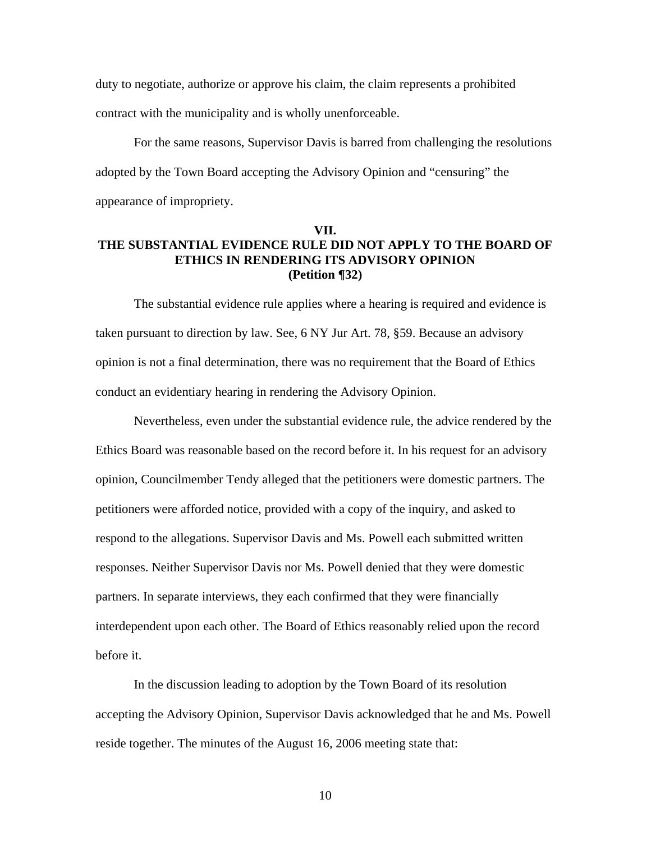duty to negotiate, authorize or approve his claim, the claim represents a prohibited contract with the municipality and is wholly unenforceable.

 For the same reasons, Supervisor Davis is barred from challenging the resolutions adopted by the Town Board accepting the Advisory Opinion and "censuring" the appearance of impropriety.

## **VII. THE SUBSTANTIAL EVIDENCE RULE DID NOT APPLY TO THE BOARD OF ETHICS IN RENDERING ITS ADVISORY OPINION (Petition ¶32)**

The substantial evidence rule applies where a hearing is required and evidence is taken pursuant to direction by law. See, 6 NY Jur Art. 78, §59. Because an advisory opinion is not a final determination, there was no requirement that the Board of Ethics conduct an evidentiary hearing in rendering the Advisory Opinion.

Nevertheless, even under the substantial evidence rule, the advice rendered by the Ethics Board was reasonable based on the record before it. In his request for an advisory opinion, Councilmember Tendy alleged that the petitioners were domestic partners. The petitioners were afforded notice, provided with a copy of the inquiry, and asked to respond to the allegations. Supervisor Davis and Ms. Powell each submitted written responses. Neither Supervisor Davis nor Ms. Powell denied that they were domestic partners. In separate interviews, they each confirmed that they were financially interdependent upon each other. The Board of Ethics reasonably relied upon the record before it.

In the discussion leading to adoption by the Town Board of its resolution accepting the Advisory Opinion, Supervisor Davis acknowledged that he and Ms. Powell reside together. The minutes of the August 16, 2006 meeting state that: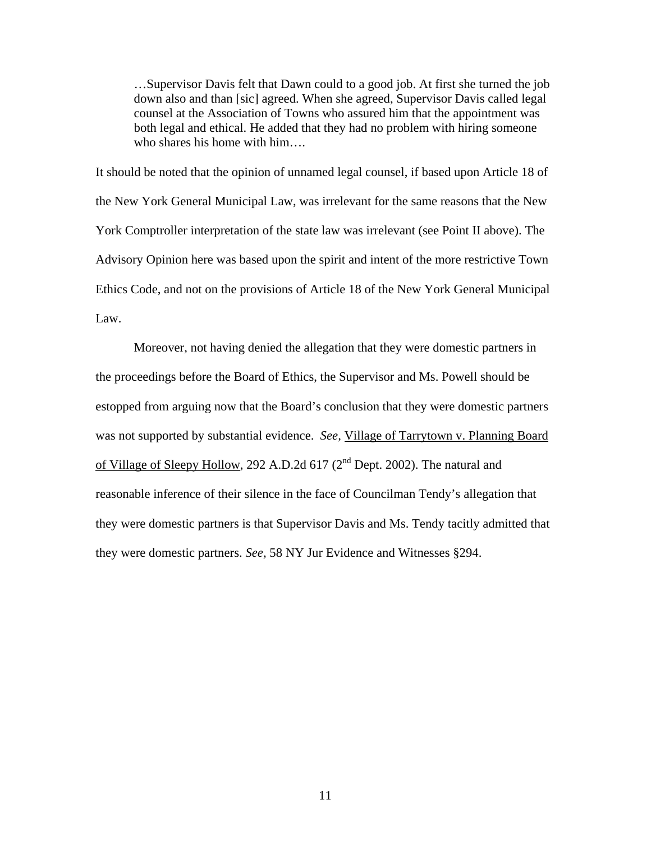…Supervisor Davis felt that Dawn could to a good job. At first she turned the job down also and than [sic] agreed. When she agreed, Supervisor Davis called legal counsel at the Association of Towns who assured him that the appointment was both legal and ethical. He added that they had no problem with hiring someone who shares his home with him….

It should be noted that the opinion of unnamed legal counsel, if based upon Article 18 of the New York General Municipal Law, was irrelevant for the same reasons that the New York Comptroller interpretation of the state law was irrelevant (see Point II above). The Advisory Opinion here was based upon the spirit and intent of the more restrictive Town Ethics Code, and not on the provisions of Article 18 of the New York General Municipal Law.

Moreover, not having denied the allegation that they were domestic partners in the proceedings before the Board of Ethics, the Supervisor and Ms. Powell should be estopped from arguing now that the Board's conclusion that they were domestic partners was not supported by substantial evidence. *See,* Village of Tarrytown v. Planning Board of Village of Sleepy Hollow, 292 A.D.2d  $617 (2<sup>nd</sup>$  Dept. 2002). The natural and reasonable inference of their silence in the face of Councilman Tendy's allegation that they were domestic partners is that Supervisor Davis and Ms. Tendy tacitly admitted that they were domestic partners. *See,* 58 NY Jur Evidence and Witnesses §294.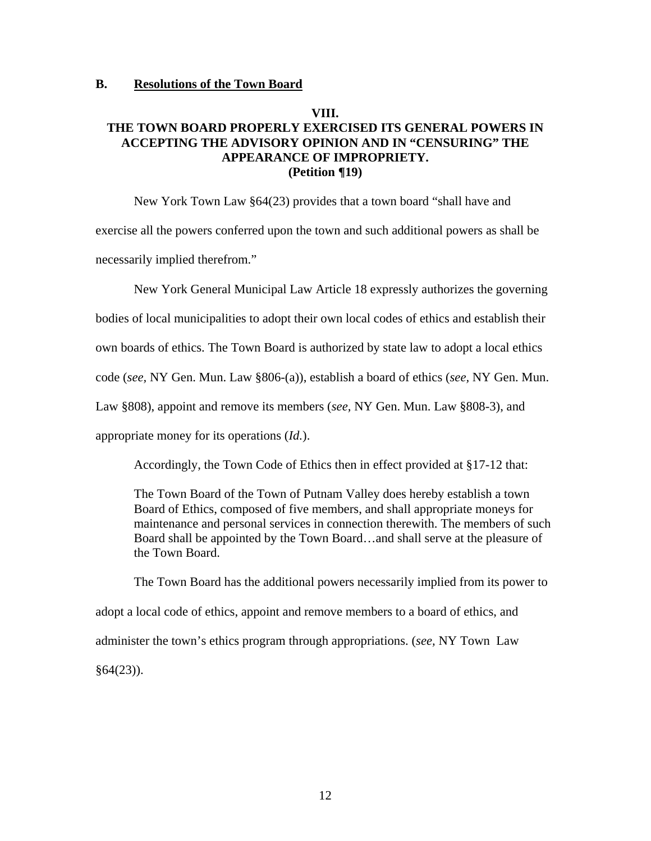#### **B. Resolutions of the Town Board**

# **VIII.**

### **THE TOWN BOARD PROPERLY EXERCISED ITS GENERAL POWERS IN ACCEPTING THE ADVISORY OPINION AND IN "CENSURING" THE APPEARANCE OF IMPROPRIETY. (Petition ¶19)**

 New York Town Law §64(23) provides that a town board "shall have and exercise all the powers conferred upon the town and such additional powers as shall be necessarily implied therefrom."

New York General Municipal Law Article 18 expressly authorizes the governing bodies of local municipalities to adopt their own local codes of ethics and establish their own boards of ethics. The Town Board is authorized by state law to adopt a local ethics code (*see,* NY Gen. Mun. Law §806-(a)), establish a board of ethics (*see,* NY Gen. Mun. Law §808), appoint and remove its members (*see,* NY Gen. Mun. Law §808-3), and appropriate money for its operations (*Id.*).

Accordingly, the Town Code of Ethics then in effect provided at §17-12 that:

The Town Board of the Town of Putnam Valley does hereby establish a town Board of Ethics, composed of five members, and shall appropriate moneys for maintenance and personal services in connection therewith. The members of such Board shall be appointed by the Town Board…and shall serve at the pleasure of the Town Board.

The Town Board has the additional powers necessarily implied from its power to adopt a local code of ethics, appoint and remove members to a board of ethics, and administer the town's ethics program through appropriations. (*see,* NY Town Law  $§64(23)$ ).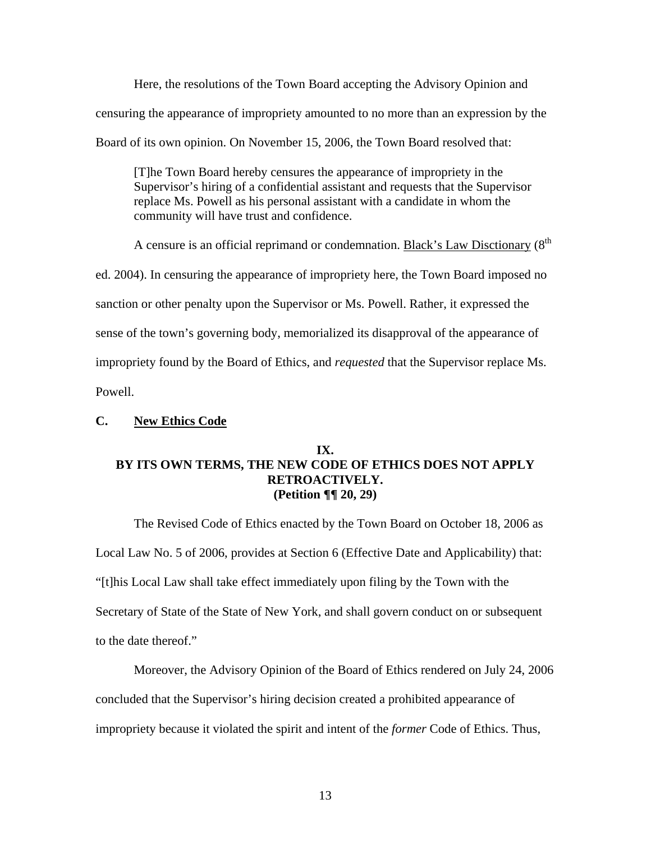Here, the resolutions of the Town Board accepting the Advisory Opinion and censuring the appearance of impropriety amounted to no more than an expression by the Board of its own opinion. On November 15, 2006, the Town Board resolved that:

[T]he Town Board hereby censures the appearance of impropriety in the Supervisor's hiring of a confidential assistant and requests that the Supervisor replace Ms. Powell as his personal assistant with a candidate in whom the community will have trust and confidence.

A censure is an official reprimand or condemnation. Black's Law Disctionary  $(8<sup>th</sup>$ ed. 2004). In censuring the appearance of impropriety here, the Town Board imposed no sanction or other penalty upon the Supervisor or Ms. Powell. Rather, it expressed the sense of the town's governing body, memorialized its disapproval of the appearance of impropriety found by the Board of Ethics, and *requested* that the Supervisor replace Ms. Powell.

#### **C. New Ethics Code**

### **IX. BY ITS OWN TERMS, THE NEW CODE OF ETHICS DOES NOT APPLY RETROACTIVELY. (Petition ¶¶ 20, 29)**

 The Revised Code of Ethics enacted by the Town Board on October 18, 2006 as Local Law No. 5 of 2006, provides at Section 6 (Effective Date and Applicability) that: "[t]his Local Law shall take effect immediately upon filing by the Town with the Secretary of State of the State of New York, and shall govern conduct on or subsequent to the date thereof."

 Moreover, the Advisory Opinion of the Board of Ethics rendered on July 24, 2006 concluded that the Supervisor's hiring decision created a prohibited appearance of impropriety because it violated the spirit and intent of the *former* Code of Ethics. Thus,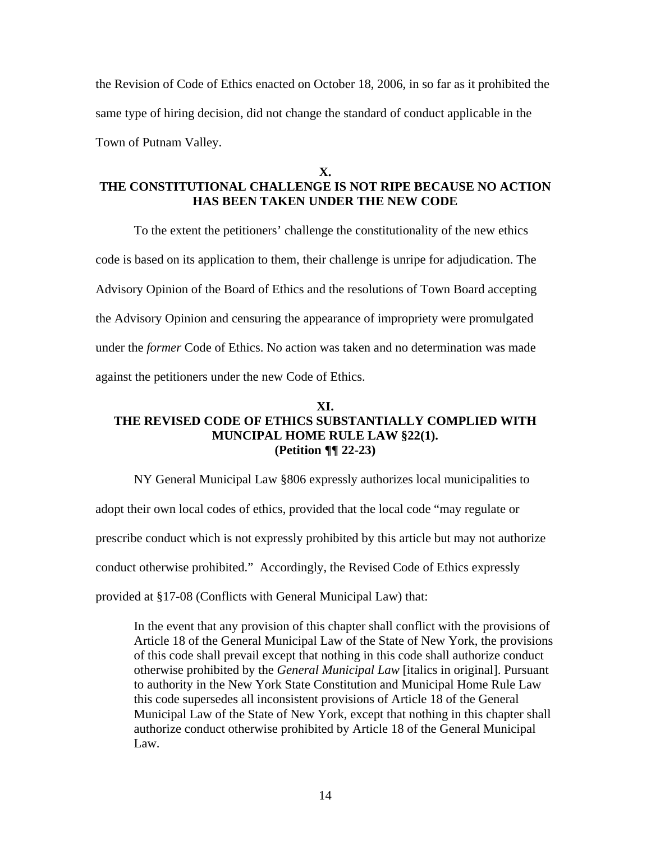the Revision of Code of Ethics enacted on October 18, 2006, in so far as it prohibited the same type of hiring decision, did not change the standard of conduct applicable in the Town of Putnam Valley.

**X.** 

# **THE CONSTITUTIONAL CHALLENGE IS NOT RIPE BECAUSE NO ACTION HAS BEEN TAKEN UNDER THE NEW CODE**

To the extent the petitioners' challenge the constitutionality of the new ethics code is based on its application to them, their challenge is unripe for adjudication. The Advisory Opinion of the Board of Ethics and the resolutions of Town Board accepting the Advisory Opinion and censuring the appearance of impropriety were promulgated under the *former* Code of Ethics. No action was taken and no determination was made against the petitioners under the new Code of Ethics.

# **XI. THE REVISED CODE OF ETHICS SUBSTANTIALLY COMPLIED WITH MUNCIPAL HOME RULE LAW §22(1). (Petition ¶¶ 22-23)**

NY General Municipal Law §806 expressly authorizes local municipalities to adopt their own local codes of ethics, provided that the local code "may regulate or prescribe conduct which is not expressly prohibited by this article but may not authorize conduct otherwise prohibited." Accordingly, the Revised Code of Ethics expressly provided at §17-08 (Conflicts with General Municipal Law) that:

In the event that any provision of this chapter shall conflict with the provisions of Article 18 of the General Municipal Law of the State of New York, the provisions of this code shall prevail except that nothing in this code shall authorize conduct otherwise prohibited by the *General Municipal Law* [italics in original]. Pursuant to authority in the New York State Constitution and Municipal Home Rule Law this code supersedes all inconsistent provisions of Article 18 of the General Municipal Law of the State of New York, except that nothing in this chapter shall authorize conduct otherwise prohibited by Article 18 of the General Municipal Law.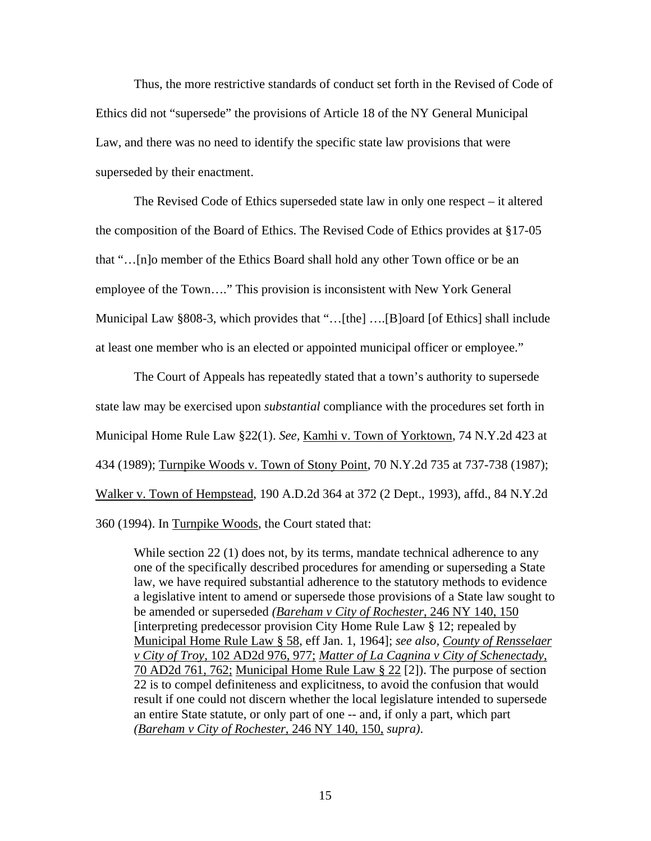Thus, the more restrictive standards of conduct set forth in the Revised of Code of Ethics did not "supersede" the provisions of Article 18 of the NY General Municipal Law, and there was no need to identify the specific state law provisions that were superseded by their enactment.

The Revised Code of Ethics superseded state law in only one respect – it altered the composition of the Board of Ethics. The Revised Code of Ethics provides at §17-05 that "…[n]o member of the Ethics Board shall hold any other Town office or be an employee of the Town…." This provision is inconsistent with New York General Municipal Law §808-3, which provides that "…[the] ….[B]oard [of Ethics] shall include at least one member who is an elected or appointed municipal officer or employee."

 The Court of Appeals has repeatedly stated that a town's authority to supersede state law may be exercised upon *substantial* compliance with the procedures set forth in Municipal Home Rule Law §22(1). *See,* Kamhi v. Town of Yorktown, 74 N.Y.2d 423 at 434 (1989); Turnpike Woods v. Town of Stony Point, 70 N.Y.2d 735 at 737-738 (1987); Walker v. Town of Hempstead, 190 A.D.2d 364 at 372 (2 Dept., 1993), affd., 84 N.Y.2d 360 (1994). In Turnpike Woods, the Court stated that:

While section 22 (1) does not, by its terms, mandate technical adherence to any one of the specifically described procedures for amending or superseding a State law, we have required substantial adherence to the statutory methods to evidence a legislative intent to amend or supersede those provisions of a State law sought to be amended or superseded *(Bareham v City of Rochester*, 246 NY 140, 150 [interpreting predecessor provision City Home Rule Law  $\S 12$ ; repealed by Municipal Home Rule Law § 58, eff Jan. 1, 1964]; *see also, County of Rensselaer v City of Troy*, 102 AD2d 976, 977; *Matter of La Cagnina v City of Schenectady*, 70 AD2d 761, 762; Municipal Home Rule Law § 22 [2]). The purpose of section 22 is to compel definiteness and explicitness, to avoid the confusion that would result if one could not discern whether the local legislature intended to supersede an entire State statute, or only part of one -- and, if only a part, which part *(Bareham v City of Rochester*, 246 NY 140, 150, *supra)*.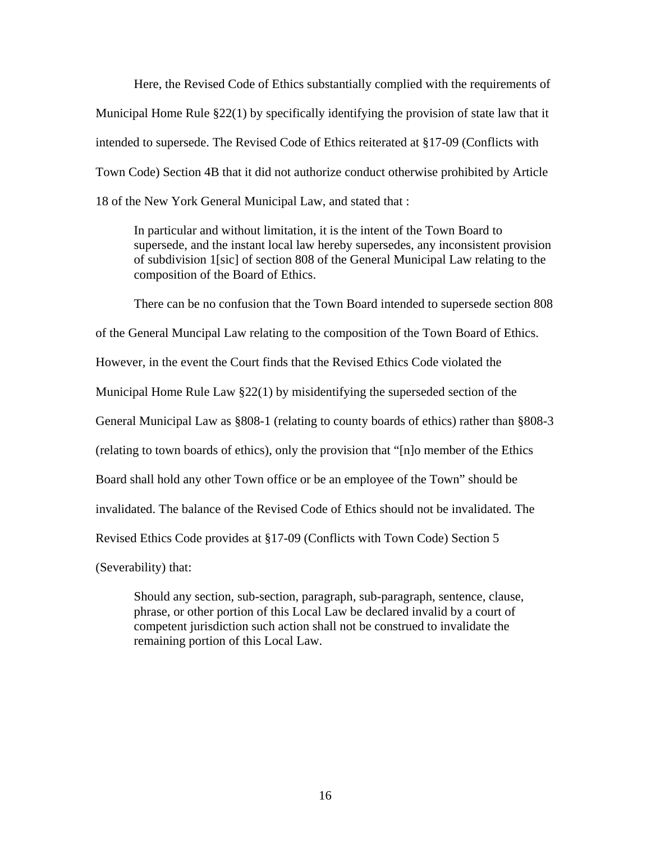Here, the Revised Code of Ethics substantially complied with the requirements of Municipal Home Rule §22(1) by specifically identifying the provision of state law that it intended to supersede. The Revised Code of Ethics reiterated at §17-09 (Conflicts with Town Code) Section 4B that it did not authorize conduct otherwise prohibited by Article 18 of the New York General Municipal Law, and stated that :

In particular and without limitation, it is the intent of the Town Board to supersede, and the instant local law hereby supersedes, any inconsistent provision of subdivision 1[sic] of section 808 of the General Municipal Law relating to the composition of the Board of Ethics.

 There can be no confusion that the Town Board intended to supersede section 808 of the General Muncipal Law relating to the composition of the Town Board of Ethics. However, in the event the Court finds that the Revised Ethics Code violated the Municipal Home Rule Law  $\S 22(1)$  by misidentifying the superseded section of the General Municipal Law as §808-1 (relating to county boards of ethics) rather than §808-3 (relating to town boards of ethics), only the provision that "[n]o member of the Ethics Board shall hold any other Town office or be an employee of the Town" should be invalidated. The balance of the Revised Code of Ethics should not be invalidated. The Revised Ethics Code provides at §17-09 (Conflicts with Town Code) Section 5

(Severability) that:

Should any section, sub-section, paragraph, sub-paragraph, sentence, clause, phrase, or other portion of this Local Law be declared invalid by a court of competent jurisdiction such action shall not be construed to invalidate the remaining portion of this Local Law.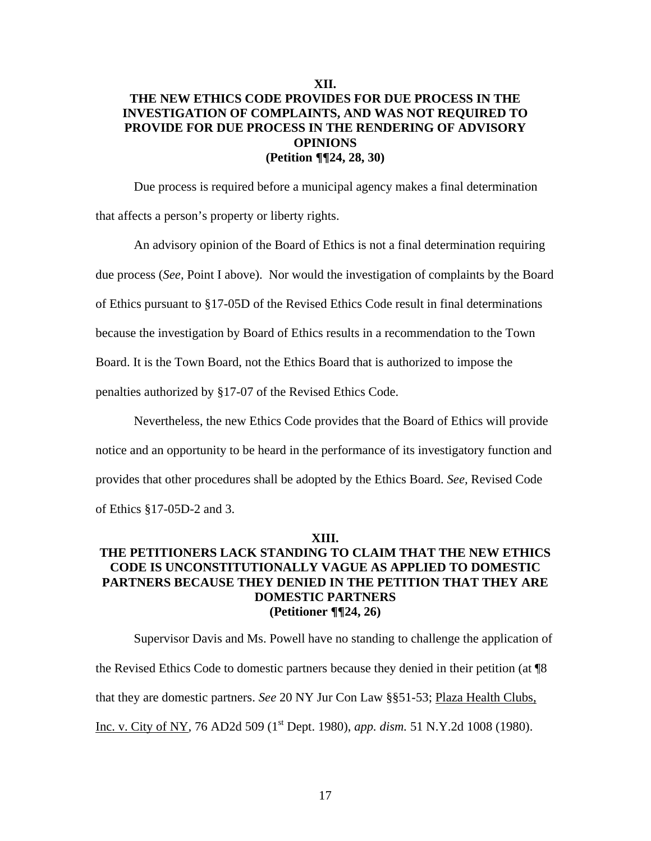## **XII. THE NEW ETHICS CODE PROVIDES FOR DUE PROCESS IN THE INVESTIGATION OF COMPLAINTS, AND WAS NOT REQUIRED TO PROVIDE FOR DUE PROCESS IN THE RENDERING OF ADVISORY OPINIONS (Petition ¶¶24, 28, 30)**

Due process is required before a municipal agency makes a final determination that affects a person's property or liberty rights.

An advisory opinion of the Board of Ethics is not a final determination requiring

due process (*See,* Point I above). Nor would the investigation of complaints by the Board

of Ethics pursuant to §17-05D of the Revised Ethics Code result in final determinations

because the investigation by Board of Ethics results in a recommendation to the Town

Board. It is the Town Board, not the Ethics Board that is authorized to impose the

penalties authorized by §17-07 of the Revised Ethics Code.

Nevertheless, the new Ethics Code provides that the Board of Ethics will provide

notice and an opportunity to be heard in the performance of its investigatory function and

provides that other procedures shall be adopted by the Ethics Board. *See,* Revised Code

of Ethics §17-05D-2 and 3.

#### **XIII.**

# **THE PETITIONERS LACK STANDING TO CLAIM THAT THE NEW ETHICS CODE IS UNCONSTITUTIONALLY VAGUE AS APPLIED TO DOMESTIC PARTNERS BECAUSE THEY DENIED IN THE PETITION THAT THEY ARE DOMESTIC PARTNERS (Petitioner ¶¶24, 26)**

Supervisor Davis and Ms. Powell have no standing to challenge the application of the Revised Ethics Code to domestic partners because they denied in their petition (at ¶8 that they are domestic partners. *See* 20 NY Jur Con Law §§51-53; Plaza Health Clubs, Inc. v. City of NY, 76 AD2d 509 (1<sup>st</sup> Dept. 1980), *app. dism.* 51 N.Y.2d 1008 (1980).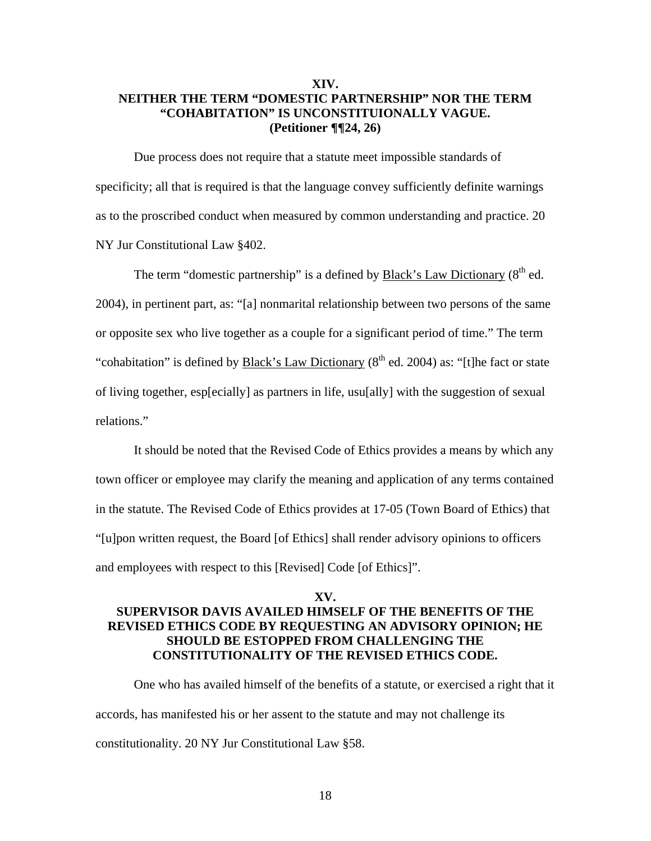## **XIV. NEITHER THE TERM "DOMESTIC PARTNERSHIP" NOR THE TERM "COHABITATION" IS UNCONSTITUIONALLY VAGUE. (Petitioner ¶¶24, 26)**

Due process does not require that a statute meet impossible standards of specificity; all that is required is that the language convey sufficiently definite warnings as to the proscribed conduct when measured by common understanding and practice. 20 NY Jur Constitutional Law §402.

The term "domestic partnership" is a defined by **Black's Law Dictionary** ( $8<sup>th</sup>$  ed. 2004), in pertinent part, as: "[a] nonmarital relationship between two persons of the same or opposite sex who live together as a couple for a significant period of time." The term "cohabitation" is defined by Black's Law Dictionary  $(8<sup>th</sup>$  ed. 2004) as: "[t]he fact or state of living together, esp[ecially] as partners in life, usu[ally] with the suggestion of sexual relations."

 It should be noted that the Revised Code of Ethics provides a means by which any town officer or employee may clarify the meaning and application of any terms contained in the statute. The Revised Code of Ethics provides at 17-05 (Town Board of Ethics) that "[u]pon written request, the Board [of Ethics] shall render advisory opinions to officers and employees with respect to this [Revised] Code [of Ethics]".

## **XV. SUPERVISOR DAVIS AVAILED HIMSELF OF THE BENEFITS OF THE REVISED ETHICS CODE BY REQUESTING AN ADVISORY OPINION; HE SHOULD BE ESTOPPED FROM CHALLENGING THE CONSTITUTIONALITY OF THE REVISED ETHICS CODE.**

 One who has availed himself of the benefits of a statute, or exercised a right that it accords, has manifested his or her assent to the statute and may not challenge its constitutionality. 20 NY Jur Constitutional Law §58.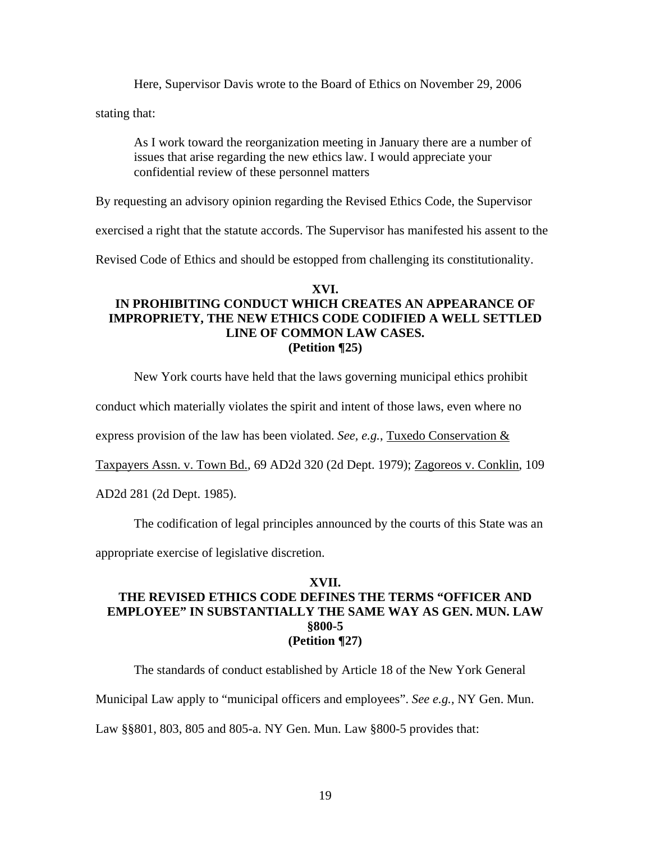Here, Supervisor Davis wrote to the Board of Ethics on November 29, 2006

stating that:

As I work toward the reorganization meeting in January there are a number of issues that arise regarding the new ethics law. I would appreciate your confidential review of these personnel matters

By requesting an advisory opinion regarding the Revised Ethics Code, the Supervisor

exercised a right that the statute accords. The Supervisor has manifested his assent to the

Revised Code of Ethics and should be estopped from challenging its constitutionality.

## **XVI. IN PROHIBITING CONDUCT WHICH CREATES AN APPEARANCE OF IMPROPRIETY, THE NEW ETHICS CODE CODIFIED A WELL SETTLED LINE OF COMMON LAW CASES. (Petition ¶25)**

New York courts have held that the laws governing municipal ethics prohibit

conduct which materially violates the spirit and intent of those laws, even where no

express provision of the law has been violated. *See, e.g.*, Tuxedo Conservation &

Taxpayers Assn. v. Town Bd., 69 AD2d 320 (2d Dept. 1979); Zagoreos v. Conklin, 109

AD2d 281 (2d Dept. 1985).

The codification of legal principles announced by the courts of this State was an

appropriate exercise of legislative discretion.

## **XVII. THE REVISED ETHICS CODE DEFINES THE TERMS "OFFICER AND EMPLOYEE" IN SUBSTANTIALLY THE SAME WAY AS GEN. MUN. LAW §800-5 (Petition ¶27)**

The standards of conduct established by Article 18 of the New York General

Municipal Law apply to "municipal officers and employees". *See e.g.,* NY Gen. Mun.

Law §§801, 803, 805 and 805-a. NY Gen. Mun. Law §800-5 provides that: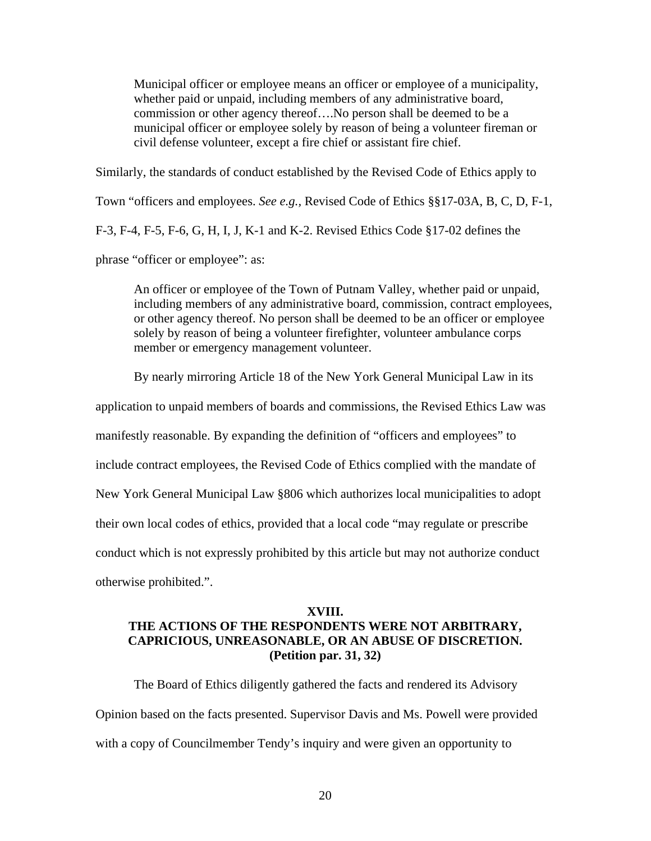Municipal officer or employee means an officer or employee of a municipality, whether paid or unpaid, including members of any administrative board, commission or other agency thereof….No person shall be deemed to be a municipal officer or employee solely by reason of being a volunteer fireman or civil defense volunteer, except a fire chief or assistant fire chief.

Similarly, the standards of conduct established by the Revised Code of Ethics apply to Town "officers and employees. *See e.g.,* Revised Code of Ethics §§17-03A, B, C, D, F-1, F-3, F-4, F-5, F-6, G, H, I, J, K-1 and K-2. Revised Ethics Code §17-02 defines the phrase "officer or employee": as:

An officer or employee of the Town of Putnam Valley, whether paid or unpaid, including members of any administrative board, commission, contract employees, or other agency thereof. No person shall be deemed to be an officer or employee solely by reason of being a volunteer firefighter, volunteer ambulance corps member or emergency management volunteer.

By nearly mirroring Article 18 of the New York General Municipal Law in its

application to unpaid members of boards and commissions, the Revised Ethics Law was

manifestly reasonable. By expanding the definition of "officers and employees" to

include contract employees, the Revised Code of Ethics complied with the mandate of

New York General Municipal Law §806 which authorizes local municipalities to adopt

their own local codes of ethics, provided that a local code "may regulate or prescribe

conduct which is not expressly prohibited by this article but may not authorize conduct

otherwise prohibited.".

#### **XVIII.**

# **THE ACTIONS OF THE RESPONDENTS WERE NOT ARBITRARY, CAPRICIOUS, UNREASONABLE, OR AN ABUSE OF DISCRETION. (Petition par. 31, 32)**

The Board of Ethics diligently gathered the facts and rendered its Advisory Opinion based on the facts presented. Supervisor Davis and Ms. Powell were provided with a copy of Councilmember Tendy's inquiry and were given an opportunity to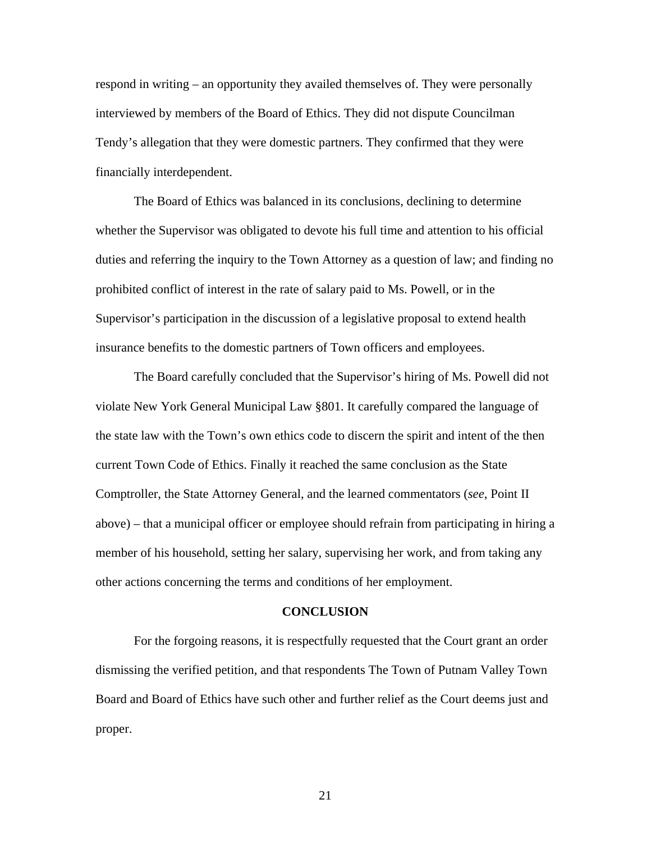respond in writing – an opportunity they availed themselves of. They were personally interviewed by members of the Board of Ethics. They did not dispute Councilman Tendy's allegation that they were domestic partners. They confirmed that they were financially interdependent.

The Board of Ethics was balanced in its conclusions, declining to determine whether the Supervisor was obligated to devote his full time and attention to his official duties and referring the inquiry to the Town Attorney as a question of law; and finding no prohibited conflict of interest in the rate of salary paid to Ms. Powell, or in the Supervisor's participation in the discussion of a legislative proposal to extend health insurance benefits to the domestic partners of Town officers and employees.

 The Board carefully concluded that the Supervisor's hiring of Ms. Powell did not violate New York General Municipal Law §801. It carefully compared the language of the state law with the Town's own ethics code to discern the spirit and intent of the then current Town Code of Ethics. Finally it reached the same conclusion as the State Comptroller, the State Attorney General, and the learned commentators (*see*, Point II above) – that a municipal officer or employee should refrain from participating in hiring a member of his household, setting her salary, supervising her work, and from taking any other actions concerning the terms and conditions of her employment.

#### **CONCLUSION**

For the forgoing reasons, it is respectfully requested that the Court grant an order dismissing the verified petition, and that respondents The Town of Putnam Valley Town Board and Board of Ethics have such other and further relief as the Court deems just and proper.